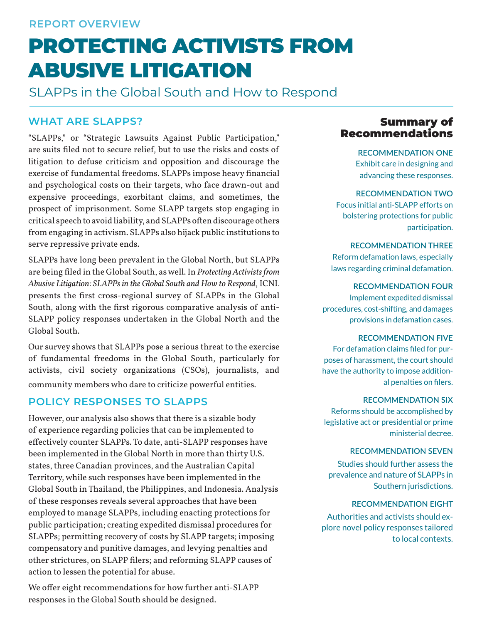# PROTECTING ACTIVISTS FROM ABUSIVE LITIGATION

SLAPPs in the Global South and How to Respond

#### **WHAT ARE SLAPPS?**

"SLAPPs," or "Strategic Lawsuits Against Public Participation," are suits filed not to secure relief, but to use the risks and costs of litigation to defuse criticism and opposition and discourage the exercise of fundamental freedoms. SLAPPs impose heavy financial and psychological costs on their targets, who face drawn-out and expensive proceedings, exorbitant claims, and sometimes, the prospect of imprisonment. Some SLAPP targets stop engaging in critical speech to avoid liability, and SLAPPs often discourage others from engaging in activism. SLAPPs also hijack public institutions to serve repressive private ends.

SLAPPs have long been prevalent in the Global North, but SLAPPs are being filed in the Global South, as well. In *Protecting Activists from Abusive Litigation: SLAPPs in the Global South and How to Respond*, ICNL presents the first cross-regional survey of SLAPPs in the Global South, along with the first rigorous comparative analysis of anti-SLAPP policy responses undertaken in the Global North and the Global South.

Our survey shows that SLAPPs pose a serious threat to the exercise of fundamental freedoms in the Global South, particularly for activists, civil society organizations (CSOs), journalists, and community members who dare to criticize powerful entities.

#### **POLICY RESPONSES TO SLAPPS**

However, our analysis also shows that there is a sizable body of experience regarding policies that can be implemented to effectively counter SLAPPs. To date, anti-SLAPP responses have been implemented in the Global North in more than thirty U.S. states, three Canadian provinces, and the Australian Capital Territory, while such responses have been implemented in the Global South in Thailand, the Philippines, and Indonesia. Analysis of these responses reveals several approaches that have been employed to manage SLAPPs, including enacting protections for public participation; creating expedited dismissal procedures for SLAPPs; permitting recovery of costs by SLAPP targets; imposing compensatory and punitive damages, and levying penalties and other strictures, on SLAPP filers; and reforming SLAPP causes of action to lessen the potential for abuse.

We offer eight recommendations for how further anti-SLAPP responses in the Global South should be designed.

#### Summary of Recommendations

**RECOMMENDATION ONE** Exhibit care in designing and advancing these responses.

#### **RECOMMENDATION TWO**

Focus initial anti-SLAPP efforts on bolstering protections for public participation.

**RECOMMENDATION THREE** Reform defamation laws, especially laws regarding criminal defamation.

#### **RECOMMENDATION FOUR**

Implement expedited dismissal procedures, cost-shifting, and damages provisions in defamation cases.

#### **RECOMMENDATION FIVE**

For defamation claims filed for purposes of harassment, the court should have the authority to impose additional penalties on filers.

#### **RECOMMENDATION SIX**

Reforms should be accomplished by legislative act or presidential or prime ministerial decree.

#### **RECOMMENDATION SEVEN**

Studies should further assess the prevalence and nature of SLAPPs in Southern jurisdictions.

#### **RECOMMENDATION EIGHT**

Authorities and activists should explore novel policy responses tailored to local contexts.